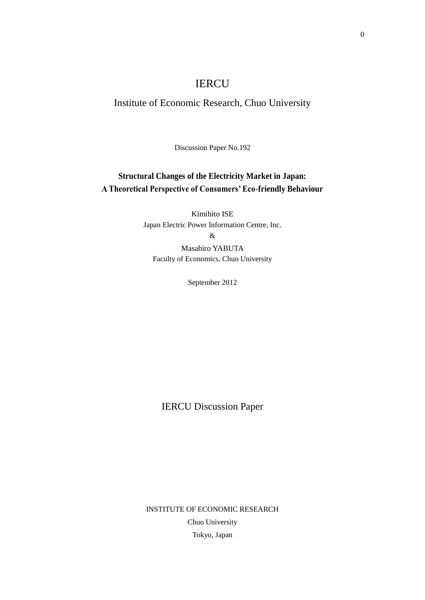# IERCU

# Institute of Economic Research, Chuo University

Discussion Paper No.192

# **Structural Changes of the Electricity Market in Japan: A Theoretical Perspective of Consumers' Eco-friendly Behaviour**

Kimihito ISE Japan Electric Power Information Centre, Inc.

&

Masahiro YABUTA Faculty of Economics, Chuo University

September 2012

IERCU Discussion Paper

INSTITUTE OF ECONOMIC RESEARCH Chuo University Tokyo, Japan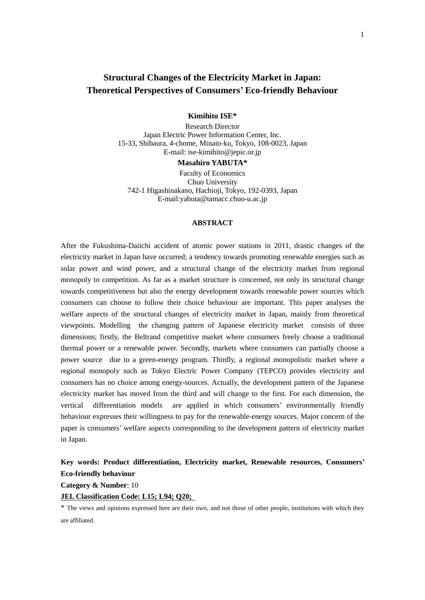# **Structural Changes of the Electricity Market in Japan: Theoretical Perspectives of Consumers' Eco-friendly Behaviour**

## **Kimihito ISE\***

Research Director Japan Electric Power Information Center, Inc. 15-33, Shibaura, 4-chome, Minato-ku, Tokyo, 108-0023, Japan E-mail: ise-kimihito@jepic.or.jp

#### **Masahiro YABUTA\***

Faculty of Economics Chuo University 742-1 Higashinakano, Hachioji, Tokyo, 192-0393, Japan E-mail:yabuta@tamacc.chuo-u.ac.jp

# **ABSTRACT**

After the Fukushima-Daiichi accident of atomic power stations in 2011, drastic changes of the electricity market in Japan have occurred; a tendency towards promoting renewable energies such as solar power and wind power, and a structural change of the electricity market from regional monopoly to competition. As far as a market structure is concerned, not only its structural change towards competitiveness but also the energy development towards renewable power sources which consumers can choose to follow their choice behaviour are important. This paper analyses the welfare aspects of the structural changes of electricity market in Japan, mainly from theoretical viewpoints. Modelling the changing pattern of Japanese electricity market consists of three dimensions; firstly, the Beltrand competitive market where consumers freely choose a traditional thermal power or a renewable power. Secondly, markets where consumers can partially choose a power source due to a green-energy program. Thirdly, a regional monopolistic market where a regional monopoly such as Tokyo Electric Power Company (TEPCO) provides electricity and consumers has no choice among energy-sources. Actually, the development pattern of the Japanese electricity market has moved from the third and will change to the first. For each dimension, the vertical differentiation models are applied in which consumers' environmentally friendly behaviour expresses their willingness to pay for the renewable-energy sources. Major concern of the paper is consumers' welfare aspects corresponding to the development pattern of electricity market in Japan.

# **Key words: Product differentiation, Electricity market, Renewable resources, Consumers' Eco-friendly behaviour**

**Category & Number**: 10

## **JEL Classification Code: L15; L94; Q20;**

<sup>\*</sup> The views and opinions expressed here are their own, and not those of other people, institutions with which they are affiliated.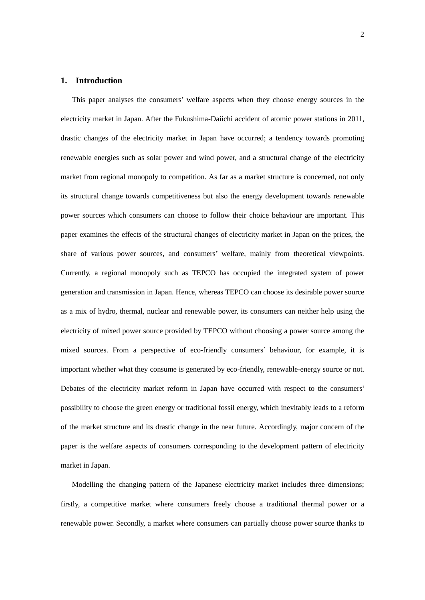# **1. Introduction**

This paper analyses the consumers' welfare aspects when they choose energy sources in the electricity market in Japan. After the Fukushima-Daiichi accident of atomic power stations in 2011, drastic changes of the electricity market in Japan have occurred; a tendency towards promoting renewable energies such as solar power and wind power, and a structural change of the electricity market from regional monopoly to competition. As far as a market structure is concerned, not only its structural change towards competitiveness but also the energy development towards renewable power sources which consumers can choose to follow their choice behaviour are important. This paper examines the effects of the structural changes of electricity market in Japan on the prices, the share of various power sources, and consumers' welfare, mainly from theoretical viewpoints. Currently, a regional monopoly such as TEPCO has occupied the integrated system of power generation and transmission in Japan. Hence, whereas TEPCO can choose its desirable power source as a mix of hydro, thermal, nuclear and renewable power, its consumers can neither help using the electricity of mixed power source provided by TEPCO without choosing a power source among the mixed sources. From a perspective of eco-friendly consumers' behaviour, for example, it is important whether what they consume is generated by eco-friendly, renewable-energy source or not. Debates of the electricity market reform in Japan have occurred with respect to the consumers' possibility to choose the green energy or traditional fossil energy, which inevitably leads to a reform of the market structure and its drastic change in the near future. Accordingly, major concern of the paper is the welfare aspects of consumers corresponding to the development pattern of electricity market in Japan.

Modelling the changing pattern of the Japanese electricity market includes three dimensions; firstly, a competitive market where consumers freely choose a traditional thermal power or a renewable power. Secondly, a market where consumers can partially choose power source thanks to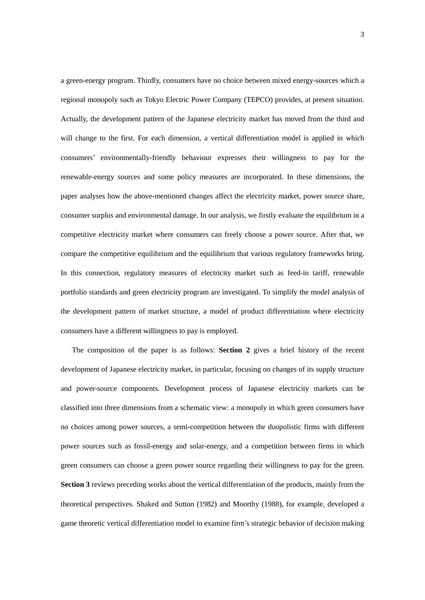a green-energy program. Thirdly, consumers have no choice between mixed energy-sources which a regional monopoly such as Tokyo Electric Power Company (TEPCO) provides, at present situation. Actually, the development pattern of the Japanese electricity market has moved from the third and will change to the first. For each dimension, a vertical differentiation model is applied in which consumers' environmentally-friendly behaviour expresses their willingness to pay for the renewable-energy sources and some policy measures are incorporated. In these dimensions, the paper analyses how the above-mentioned changes affect the electricity market, power source share, consumer surplus and environmental damage. In our analysis, we firstly evaluate the equilibrium in a competitive electricity market where consumers can freely choose a power source. After that, we compare the competitive equilibrium and the equilibrium that various regulatory frameworks bring. In this connection, regulatory measures of electricity market such as feed-in tariff, renewable portfolio standards and green electricity program are investigated. To simplify the model analysis of the development pattern of market structure, a model of product differentiation where electricity consumers have a different willingness to pay is employed.

The composition of the paper is as follows: **Section 2** gives a brief history of the recent development of Japanese electricity market, in particular, focusing on changes of its supply structure and power-source components. Development process of Japanese electricity markets can be classified into three dimensions from a schematic view: a monopoly in which green consumers have no choices among power sources, a semi-competition between the duopolistic firms with different power sources such as fossil-energy and solar-energy, and a competition between firms in which green consumers can choose a green power source regarding their willingness to pay for the green. **Section 3** reviews preceding works about the vertical differentiation of the products, mainly from the theoretical perspectives. Shaked and Sutton (1982) and Moorthy (1988), for example, developed a game theoretic vertical differentiation model to examine firm's strategic behavior of decision making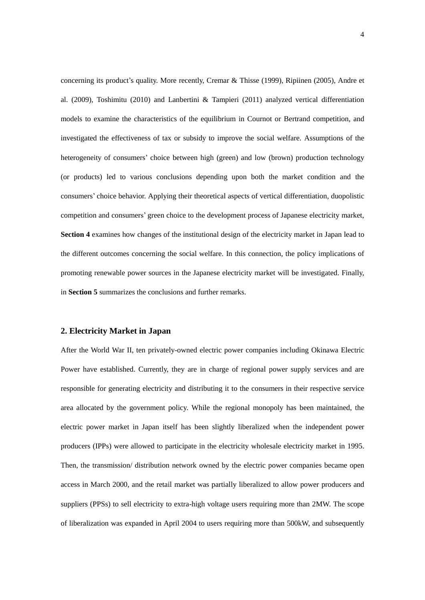concerning its product's quality. More recently, Cremar & Thisse (1999), Ripiinen (2005), Andre et al. (2009), Toshimitu (2010) and Lanbertini & Tampieri (2011) analyzed vertical differentiation models to examine the characteristics of the equilibrium in Cournot or Bertrand competition, and investigated the effectiveness of tax or subsidy to improve the social welfare. Assumptions of the heterogeneity of consumers' choice between high (green) and low (brown) production technology (or products) led to various conclusions depending upon both the market condition and the consumers' choice behavior. Applying their theoretical aspects of vertical differentiation, duopolistic competition and consumers' green choice to the development process of Japanese electricity market, **Section 4** examines how changes of the institutional design of the electricity market in Japan lead to the different outcomes concerning the social welfare. In this connection, the policy implications of promoting renewable power sources in the Japanese electricity market will be investigated. Finally, in **Section 5** summarizes the conclusions and further remarks.

# **2. Electricity Market in Japan**

After the World War II, ten privately-owned electric power companies including Okinawa Electric Power have established. Currently, they are in charge of regional power supply services and are responsible for generating electricity and distributing it to the consumers in their respective service area allocated by the government policy. While the regional monopoly has been maintained, the electric power market in Japan itself has been slightly liberalized when the independent power producers (IPPs) were allowed to participate in the electricity wholesale electricity market in 1995. Then, the transmission/ distribution network owned by the electric power companies became open access in March 2000, and the retail market was partially liberalized to allow power producers and suppliers (PPSs) to sell electricity to extra-high voltage users requiring more than 2MW. The scope of liberalization was expanded in April 2004 to users requiring more than 500kW, and subsequently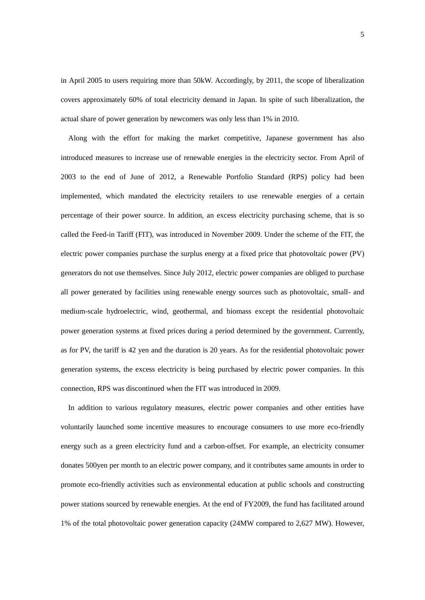in April 2005 to users requiring more than 50kW. Accordingly, by 2011, the scope of liberalization covers approximately 60% of total electricity demand in Japan. In spite of such liberalization, the actual share of power generation by newcomers was only less than 1% in 2010.

Along with the effort for making the market competitive, Japanese government has also introduced measures to increase use of renewable energies in the electricity sector. From April of 2003 to the end of June of 2012, a Renewable Portfolio Standard (RPS) policy had been implemented, which mandated the electricity retailers to use renewable energies of a certain percentage of their power source. In addition, an excess electricity purchasing scheme, that is so called the Feed-in Tariff (FIT), was introduced in November 2009. Under the scheme of the FIT, the electric power companies purchase the surplus energy at a fixed price that photovoltaic power (PV) generators do not use themselves. Since July 2012, electric power companies are obliged to purchase all power generated by facilities using renewable energy sources such as photovoltaic, small- and medium-scale hydroelectric, wind, geothermal, and biomass except the residential photovoltaic power generation systems at fixed prices during a period determined by the government. Currently, as for PV, the tariff is 42 yen and the duration is 20 years. As for the residential photovoltaic power generation systems, the excess electricity is being purchased by electric power companies. In this connection, RPS was discontinued when the FIT was introduced in 2009.

In addition to various regulatory measures, electric power companies and other entities have voluntarily launched some incentive measures to encourage consumers to use more eco-friendly energy such as a green electricity fund and a carbon-offset. For example, an electricity consumer donates 500yen per month to an electric power company, and it contributes same amounts in order to promote eco-friendly activities such as environmental education at public schools and constructing power stations sourced by renewable energies. At the end of FY2009, the fund has facilitated around 1% of the total photovoltaic power generation capacity (24MW compared to 2,627 MW). However,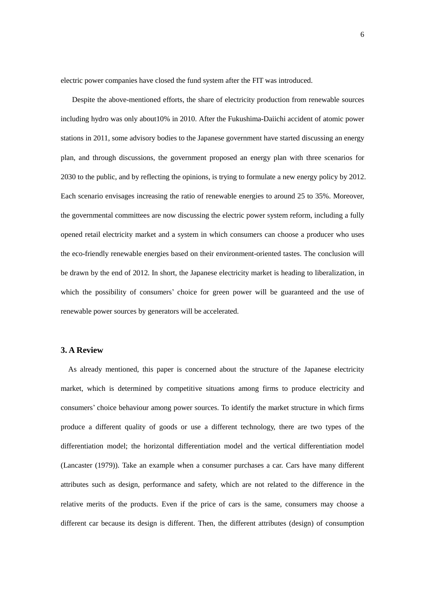electric power companies have closed the fund system after the FIT was introduced.

Despite the above-mentioned efforts, the share of electricity production from renewable sources including hydro was only about10% in 2010. After the Fukushima-Daiichi accident of atomic power stations in 2011, some advisory bodies to the Japanese government have started discussing an energy plan, and through discussions, the government proposed an energy plan with three scenarios for 2030 to the public, and by reflecting the opinions, is trying to formulate a new energy policy by 2012. Each scenario envisages increasing the ratio of renewable energies to around 25 to 35%. Moreover, the governmental committees are now discussing the electric power system reform, including a fully opened retail electricity market and a system in which consumers can choose a producer who uses the eco-friendly renewable energies based on their environment-oriented tastes. The conclusion will be drawn by the end of 2012. In short, the Japanese electricity market is heading to liberalization, in which the possibility of consumers' choice for green power will be guaranteed and the use of renewable power sources by generators will be accelerated.

# **3. A Review**

As already mentioned, this paper is concerned about the structure of the Japanese electricity market, which is determined by competitive situations among firms to produce electricity and consumers' choice behaviour among power sources. To identify the market structure in which firms produce a different quality of goods or use a different technology, there are two types of the differentiation model; the horizontal differentiation model and the vertical differentiation model (Lancaster (1979)). Take an example when a consumer purchases a car. Cars have many different attributes such as design, performance and safety, which are not related to the difference in the relative merits of the products. Even if the price of cars is the same, consumers may choose a different car because its design is different. Then, the different attributes (design) of consumption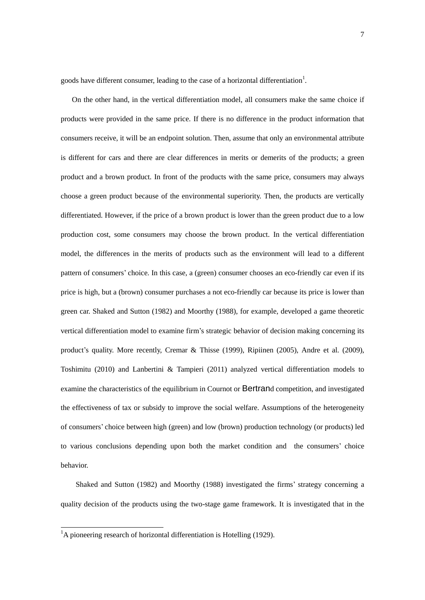goods have different consumer, leading to the case of a horizontal differentiation<sup>1</sup>.

 On the other hand, in the vertical differentiation model, all consumers make the same choice if products were provided in the same price. If there is no difference in the product information that consumers receive, it will be an endpoint solution. Then, assume that only an environmental attribute is different for cars and there are clear differences in merits or demerits of the products; a green product and a brown product. In front of the products with the same price, consumers may always choose a green product because of the environmental superiority. Then, the products are vertically differentiated. However, if the price of a brown product is lower than the green product due to a low production cost, some consumers may choose the brown product. In the vertical differentiation model, the differences in the merits of products such as the environment will lead to a different pattern of consumers' choice. In this case, a (green) consumer chooses an eco-friendly car even if its price is high, but a (brown) consumer purchases a not eco-friendly car because its price is lower than green car. Shaked and Sutton (1982) and Moorthy (1988), for example, developed a game theoretic vertical differentiation model to examine firm's strategic behavior of decision making concerning its product's quality. More recently, Cremar & Thisse (1999), Ripiinen (2005), Andre et al. (2009), Toshimitu (2010) and Lanbertini & Tampieri (2011) analyzed vertical differentiation models to examine the characteristics of the equilibrium in Cournot or Bertrand competition, and investigated the effectiveness of tax or subsidy to improve the social welfare. Assumptions of the heterogeneity of consumers' choice between high (green) and low (brown) production technology (or products) led to various conclusions depending upon both the market condition and the consumers' choice behavior.

 Shaked and Sutton (1982) and Moorthy (1988) investigated the firms' strategy concerning a quality decision of the products using the two-stage game framework. It is investigated that in the

<u>.</u>

 ${}^{1}$ A pioneering research of horizontal differentiation is Hotelling (1929).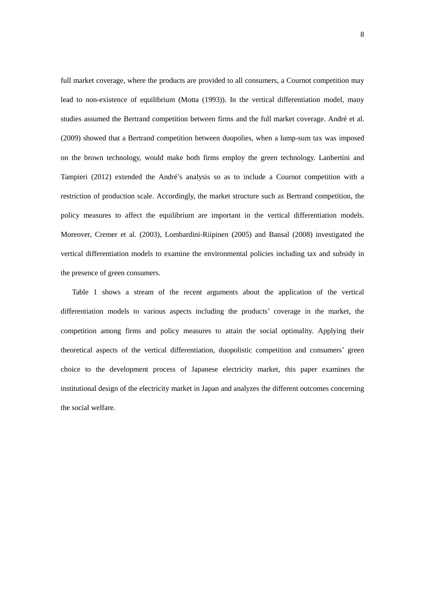full market coverage, where the products are provided to all consumers, a Cournot competition may lead to non-existence of equilibrium (Motta (1993)). In the vertical differentiation model, many studies assumed the Bertrand competition between firms and the full market coverage. André et al. (2009) showed that a Bertrand competition between duopolies, when a lump-sum tax was imposed on the brown technology, would make both firms employ the green technology. Lanbertini and Tampieri (2012) extended the André's analysis so as to include a Cournot competition with a restriction of production scale. Accordingly, the market structure such as Bertrand competition, the policy measures to affect the equilibrium are important in the vertical differentiation models. Moreover, Cremer et al. (2003), Lombardini-Riipinen (2005) and Bansal (2008) investigated the vertical differentiation models to examine the environmental policies including tax and subsidy in the presence of green consumers.

 Table 1 shows a stream of the recent arguments about the application of the vertical differentiation models to various aspects including the products' coverage in the market, the competition among firms and policy measures to attain the social optimality. Applying their theoretical aspects of the vertical differentiation, duopolistic competition and consumers' green choice to the development process of Japanese electricity market, this paper examines the institutional design of the electricity market in Japan and analyzes the different outcomes concerning the social welfare.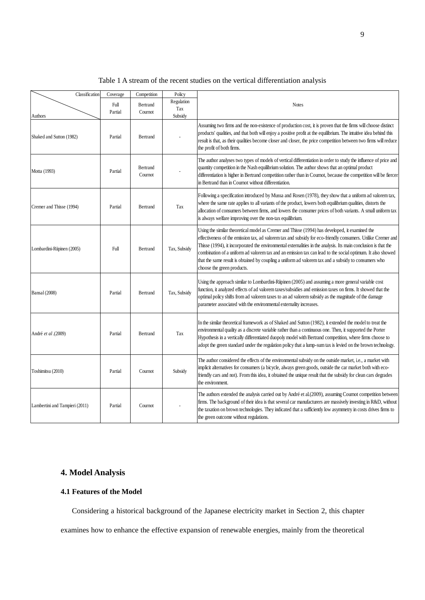| Classification                 | Coverage        | Competition         | Policy                       |                                                                                                                                                                                                                                                                                                                                                                                                                                                                                                                                                                                      |
|--------------------------------|-----------------|---------------------|------------------------------|--------------------------------------------------------------------------------------------------------------------------------------------------------------------------------------------------------------------------------------------------------------------------------------------------------------------------------------------------------------------------------------------------------------------------------------------------------------------------------------------------------------------------------------------------------------------------------------|
| Authors                        | Full<br>Partial | Bertrand<br>Cournot | Regulation<br>Tax<br>Subsidy | <b>Notes</b>                                                                                                                                                                                                                                                                                                                                                                                                                                                                                                                                                                         |
| Shaked and Sutton (1982)       | Partial         | Bertrand            |                              | Assuming two firms and the non-existence of production cost, it is proven that the firms will choose distinct<br>products' qualities, and that both will enjoy a positive profit at the equilibrium. The intuitive idea behind this<br>result is that, as their qualities become closer and closer, the price competition between two firms will reduce<br>the profit of both firms.                                                                                                                                                                                                 |
| Motta (1993)                   | Partial         | Bertrand<br>Cournot |                              | The author analyses two types of models of vertical differentiation in order to study the influence of price and<br>quantity competition in the Nash equilibrium solution. The author shows that an optimal product<br>differentiation is higher in Bertrand competition rather than in Cournot, because the competition will be fiercer<br>in Bertrand than in Cournot without differentiation.                                                                                                                                                                                     |
| Cremer and Thisse (1994)       | Partial         | Bertrand            | Tax                          | Following a specification introduced by Mussa and Rosen (1978), they show that a uniform ad valorem tax,<br>where the same rate applies to all variants of the product, lowers both equilibrium qualities, distorts the<br>allocation of consumers between firms, and lowers the consumer prices of both variants. A small uniform tax<br>is always welfare improving over the non-tax equilibrium.                                                                                                                                                                                  |
| Lombardini-Riipinen (2005)     | Full            | <b>Bertrand</b>     | Tax, Subsidy                 | Using the similar theoretical model as Cremer and Thisse (1994) has developed, it examined the<br>effectiveness of the emission tax, ad valorem tax and subsidy for eco-friendly consumers. Unlike Cremer and<br>Thisse (1994), it incorporated the environmental externalities in the analysis. Its main conclusion is that the<br>combination of a uniform ad valorem tax and an emission tax can lead to the social optimum. It also showed<br>that the same result is obtained by coupling a uniform ad valorem tax and a subsidy to consumers who<br>choose the green products. |
| Bansal (2008)                  | Partial         | <b>Bertrand</b>     | Tax, Subsidy                 | Using the approach similar to Lombardini-Riipinen (2005) and assuming a more general variable cost<br>function, it analyzed effects of ad valorem taxes/subsidies and emission taxes on firms. It showed that the<br>optimal policy shifts from ad valorem taxes to an ad valorem subsidy as the magnitude of the damage<br>parameter associated with the environmental externality increases.                                                                                                                                                                                       |
| André et al.(2009)             | Partial         | <b>Bertrand</b>     | Tax                          | In the similar theoretical framework as of Shaked and Sutton (1982), it extended the model to treat the<br>environmental quality as a discrete variable rather than a continuous one. Then, it supported the Porter<br>Hypothesis in a vertically differentiated duopoly model with Bertrand competition, where firms choose to<br>adopt the green standard under the regulation policy that a lump-sum tax is levied on the brown technology.                                                                                                                                       |
| Toshimitsu (2010)              | Partial         | Cournot             | Subsidy                      | The author considered the effects of the environmental subsidy on the outside market, i.e., a market with<br>implicit alternatives for consumers (a bicycle, always green goods, outside the car market both with eco-<br>friendly cars and not). From this idea, it obtained the unique result that the subsidy for clean cars degrades<br>the environment.                                                                                                                                                                                                                         |
| Lambertini and Tampieri (2011) | Partial         | Cournot             |                              | The authors extended the analysis carried out by André et al.(2009), assuming Cournot competition between<br>firms. The background of their idea is that several car manufacturers are massively investing in R&D, without<br>the taxation on brown technologies. They indicated that a sufficiently low asymmetry in costs drives firms to<br>the green outcome without regulations.                                                                                                                                                                                                |

Table 1 A stream of the recent studies on the vertical differentiation analysis

# **4. Model Analysis**

# **4.1 Features of the Model**

Considering a historical background of the Japanese electricity market in Section 2, this chapter

examines how to enhance the effective expansion of renewable energies, mainly from the theoretical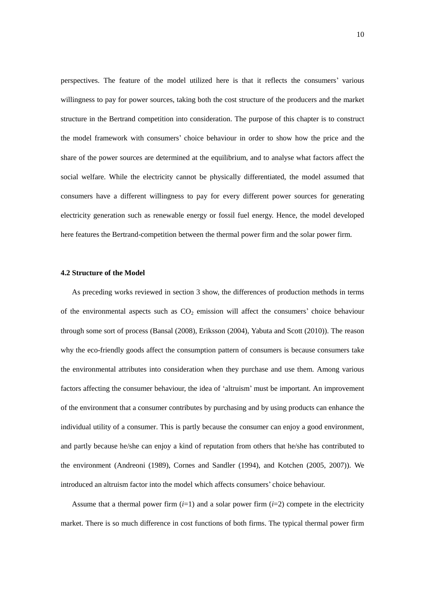perspectives. The feature of the model utilized here is that it reflects the consumers' various willingness to pay for power sources, taking both the cost structure of the producers and the market structure in the Bertrand competition into consideration. The purpose of this chapter is to construct the model framework with consumers' choice behaviour in order to show how the price and the share of the power sources are determined at the equilibrium, and to analyse what factors affect the social welfare. While the electricity cannot be physically differentiated, the model assumed that consumers have a different willingness to pay for every different power sources for generating electricity generation such as renewable energy or fossil fuel energy. Hence, the model developed here features the Bertrand-competition between the thermal power firm and the solar power firm.

# **4.2 Structure of the Model**

As preceding works reviewed in section 3 show, the differences of production methods in terms of the environmental aspects such as  $CO<sub>2</sub>$  emission will affect the consumers' choice behaviour through some sort of process (Bansal (2008), Eriksson (2004), Yabuta and Scott (2010)). The reason why the eco-friendly goods affect the consumption pattern of consumers is because consumers take the environmental attributes into consideration when they purchase and use them. Among various factors affecting the consumer behaviour, the idea of 'altruism' must be important. An improvement of the environment that a consumer contributes by purchasing and by using products can enhance the individual utility of a consumer. This is partly because the consumer can enjoy a good environment, and partly because he/she can enjoy a kind of reputation from others that he/she has contributed to the environment (Andreoni (1989), Cornes and Sandler (1994), and Kotchen (2005, 2007)). We introduced an altruism factor into the model which affects consumers' choice behaviour.

Assume that a thermal power firm  $(i=1)$  and a solar power firm  $(i=2)$  compete in the electricity market. There is so much difference in cost functions of both firms. The typical thermal power firm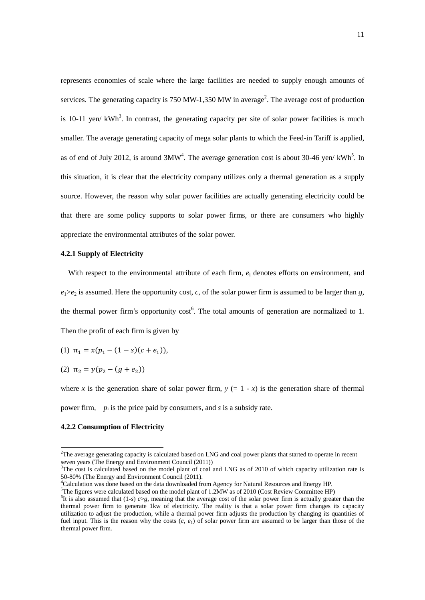represents economies of scale where the large facilities are needed to supply enough amounts of services. The generating capacity is 750 MW-1,350 MW in average<sup>2</sup>. The average cost of production is 10-11 yen/  $kWh^3$ . In contrast, the generating capacity per site of solar power facilities is much smaller. The average generating capacity of mega solar plants to which the Feed-in Tariff is applied, as of end of July 2012, is around  $3MW<sup>4</sup>$ . The average generation cost is about 30-46 yen/ kWh<sup>5</sup>. In this situation, it is clear that the electricity company utilizes only a thermal generation as a supply source. However, the reason why solar power facilities are actually generating electricity could be that there are some policy supports to solar power firms, or there are consumers who highly appreciate the environmental attributes of the solar power.

# **4.2.1 Supply of Electricity**

With respect to the environmental attribute of each firm,  $e_i$  denotes efforts on environment, and  $e_1 > e_2$  is assumed. Here the opportunity cost, *c*, of the solar power firm is assumed to be larger than *g*, the thermal power firm's opportunity  $cost<sup>6</sup>$ . The total amounts of generation are normalized to 1. Then the profit of each firm is given by

(1) 
$$
\pi_1 = x(p_1 - (1 - s)(c + e_1)),
$$

(2)  $\pi_2 = y(p_2 - (g + e_2))$ 

where *x* is the generation share of solar power firm,  $y (= 1 - x)$  is the generation share of thermal power firm, *p*<sup>i</sup> is the price paid by consumers, and *s* is a subsidy rate.

# **4.2.2 Consumption of Electricity**

-

<sup>&</sup>lt;sup>2</sup>The average generating capacity is calculated based on LNG and coal power plants that started to operate in recent seven years (The Energy and Environment Council (2011))

 $3$ The cost is calculated based on the model plant of coal and LNG as of 2010 of which capacity utilization rate is 50-80% (The Energy and Environment Council (2011).

<sup>4</sup>Calculation was done based on the data downloaded from Agency for Natural Resources and Energy HP.

 ${}^{5}$ The figures were calculated based on the model plant of 1.2MW as of 2010 (Cost Review Committee HP)

<sup>&</sup>lt;sup>6</sup>It is also assumed that  $(1-s)$  *c*>*g*, meaning that the average cost of the solar power firm is actually greater than the thermal power firm to generate 1kw of electricity. The reality is that a solar power firm changes its capacity utilization to adjust the production, while a thermal power firm adjusts the production by changing its quantities of fuel input. This is the reason why the costs  $(c, e_1)$  of solar power firm are assumed to be larger than those of the thermal power firm.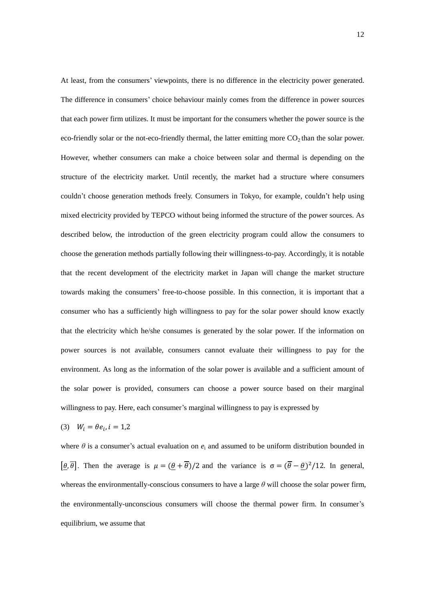At least, from the consumers' viewpoints, there is no difference in the electricity power generated. The difference in consumers' choice behaviour mainly comes from the difference in power sources that each power firm utilizes. It must be important for the consumers whether the power source is the eco-friendly solar or the not-eco-friendly thermal, the latter emitting more  $CO<sub>2</sub>$  than the solar power. However, whether consumers can make a choice between solar and thermal is depending on the structure of the electricity market. Until recently, the market had a structure where consumers couldn't choose generation methods freely. Consumers in Tokyo, for example, couldn't help using mixed electricity provided by TEPCO without being informed the structure of the power sources. As described below, the introduction of the green electricity program could allow the consumers to choose the generation methods partially following their willingness-to-pay. Accordingly, it is notable that the recent development of the electricity market in Japan will change the market structure towards making the consumers' free-to-choose possible. In this connection, it is important that a consumer who has a sufficiently high willingness to pay for the solar power should know exactly that the electricity which he/she consumes is generated by the solar power. If the information on power sources is not available, consumers cannot evaluate their willingness to pay for the environment. As long as the information of the solar power is available and a sufficient amount of the solar power is provided, consumers can choose a power source based on their marginal willingness to pay. Here, each consumer's marginal willingness to pay is expressed by

(3) 
$$
W_i = \theta e_i, i = 1,2
$$

where  $\theta$  is a consumer's actual evaluation on  $e_i$  and assumed to be uniform distribution bounded in  $\left[\theta, \overline{\theta}\right]$ . Then the average is  $\mu = (\theta + \overline{\theta})/2$  and the variance is  $\sigma = (\overline{\theta} - \theta)^2/12$ . In general, whereas the environmentally-conscious consumers to have a large  $\theta$  will choose the solar power firm, the environmentally-unconscious consumers will choose the thermal power firm. In consumer's equilibrium, we assume that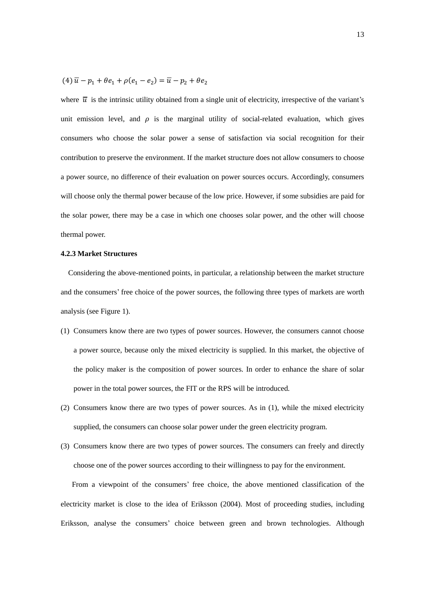# $(4)$   $\overline{u} - p_1 + \theta e_1 + \rho (e_1 - e_2)$

where  $\overline{u}$  is the intrinsic utility obtained from a single unit of electricity, irrespective of the variant's unit emission level, and  $\rho$  is the marginal utility of social-related evaluation, which gives consumers who choose the solar power a sense of satisfaction via social recognition for their contribution to preserve the environment. If the market structure does not allow consumers to choose a power source, no difference of their evaluation on power sources occurs. Accordingly, consumers will choose only the thermal power because of the low price. However, if some subsidies are paid for the solar power, there may be a case in which one chooses solar power, and the other will choose thermal power.

#### **4.2.3 Market Structures**

 Considering the above-mentioned points, in particular, a relationship between the market structure and the consumers' free choice of the power sources, the following three types of markets are worth analysis (see Figure 1).

- (1) Consumers know there are two types of power sources. However, the consumers cannot choose a power source, because only the mixed electricity is supplied. In this market, the objective of the policy maker is the composition of power sources. In order to enhance the share of solar power in the total power sources, the FIT or the RPS will be introduced.
- (2) Consumers know there are two types of power sources. As in (1), while the mixed electricity supplied, the consumers can choose solar power under the green electricity program.
- (3) Consumers know there are two types of power sources. The consumers can freely and directly choose one of the power sources according to their willingness to pay for the environment. From a viewpoint of the consumers' free choice, the above mentioned classification of the electricity market is close to the idea of Eriksson (2004). Most of proceeding studies, including Eriksson, analyse the consumers' choice between green and brown technologies. Although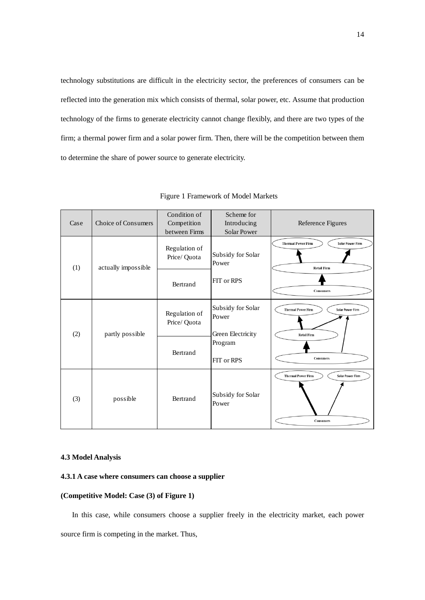technology substitutions are difficult in the electricity sector, the preferences of consumers can be reflected into the generation mix which consists of thermal, solar power, etc. Assume that production technology of the firms to generate electricity cannot change flexibly, and there are two types of the firm; a thermal power firm and a solar power firm. Then, there will be the competition between them to determine the share of power source to generate electricity.

| Case | Choice of Consumers | Condition of<br>Competition<br>between Firms | Scheme for<br>Introducing<br><b>Solar Power</b>                          | Reference Figures                                                                              |
|------|---------------------|----------------------------------------------|--------------------------------------------------------------------------|------------------------------------------------------------------------------------------------|
| (1)  | actually impossible | Regulation of<br>Price/ Quota                | Subsidy for Solar<br>Power                                               | <b>Thermal Power Firm</b><br><b>Solar Power Firm</b><br><b>Retail Firm</b>                     |
|      |                     | Bertrand                                     | FIT or RPS                                                               | <b>Consumers</b>                                                                               |
| (2)  | partly possible     | Regulation of<br>Price/ Quota                | Subsidy for Solar<br>Power<br>Green Electricity<br>Program<br>FIT or RPS | <b>Thermal Power Firm</b><br><b>Solar Power Firm</b><br><b>Retail Firm</b><br><b>Consumers</b> |
|      |                     | Bertrand                                     |                                                                          |                                                                                                |
| (3)  | possible            | Bertrand                                     | Subsidy for Solar<br>Power                                               | <b>Thermal Power Firm</b><br><b>Solar Power Firm</b><br><b>Consumers</b>                       |

## Figure 1 Framework of Model Markets

# **4.3 Model Analysis**

# **4.3.1 A case where consumers can choose a supplier**

# **(Competitive Model: Case (3) of Figure 1)**

 In this case, while consumers choose a supplier freely in the electricity market, each power source firm is competing in the market. Thus,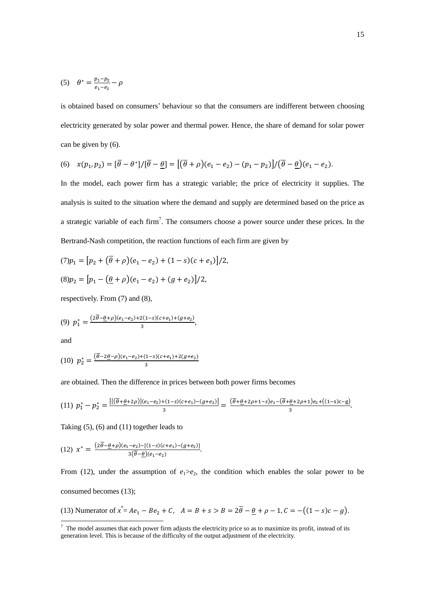(5) 
$$
\theta^* = \frac{p_1 - p_2}{e_1 - e_2} - \rho
$$

is obtained based on consumers' behaviour so that the consumers are indifferent between choosing electricity generated by solar power and thermal power. Hence, the share of demand for solar power can be given by (6).

(6) 
$$
x(p_1, p_2) = [\overline{\theta} - \theta^*]/[\overline{\theta} - \underline{\theta}] = [(\overline{\theta} + \rho)(e_1 - e_2) - (p_1 - p_2)]/(\overline{\theta} - \underline{\theta})(e_1 - e_2).
$$

In the model, each power firm has a strategic variable; the price of electricity it supplies. The analysis is suited to the situation where the demand and supply are determined based on the price as a strategic variable of each firm<sup>7</sup>. The consumers choose a power source under these prices. In the Bertrand-Nash competition, the reaction functions of each firm are given by

$$
(7)p_1 = [p_2 + (\overline{\theta} + \rho)(e_1 - e_2) + (1 - s)(c + e_1)]/2,
$$

$$
(8)p_2 = [p_1 - (\underline{\theta} + \rho)(e_1 - e_2) + (g + e_2)]/2,
$$

respectively. From (7) and (8),

$$
(9) \ \ p_1^* = \frac{(2\overline{\theta} - \underline{\theta} + \rho)(e_1 - e_2) + 2(1 - s)(c + e_1) + (g + e_2)}{3},
$$

and

-

(10) 
$$
p_2^* = \frac{(\overline{\theta} - 2\underline{\theta} - \rho)(e_1 - e_2) + (1 - s)(c + e_1) + 2(g + e_2)}{3}
$$

are obtained. Then the difference in prices between both power firms becomes

$$
(11) \ \ p_1^* - p_2^* = \frac{\left[ \left( \overline{\theta} + \underline{\theta} + 2\rho \right) \right] \left( e_1 - e_2 \right) + (1-s)(c+e_1) - (g+e_2) \right]}{3} = \frac{\left( \overline{\theta} + \underline{\theta} + 2\rho + 1 - s \right) e_1 - \left( \overline{\theta} + \underline{\theta} + 2\rho + 1 \right) e_2 + \left( (1-s)c - g \right)}{3}.
$$

Taking (5), (6) and (11) together leads to

(12) 
$$
x^* = \frac{(2\overline{\theta} - \underline{\theta} + \rho)(e_1 - e_2) - [(1-s)(c+e_1) - (g+e_2)]}{3(\overline{\theta} - \underline{\theta})(e_1 - e_2)}.
$$

From (12), under the assumption of  $e_1 > e_2$ , the condition which enables the solar power to be consumed becomes (13);

(13) Numerator of 
$$
x^* = Ae_1 - Be_2 + C
$$
,  $A = B + s > B = 2\overline{\theta} - \underline{\theta} + \rho - 1$ ,  $C = -((1 - s)c - g)$ .

 $<sup>7</sup>$  The model assumes that each power firm adjusts the electricity price so as to maximize its profit, instead of its</sup> generation level. This is because of the difficulty of the output adjustment of the electricity.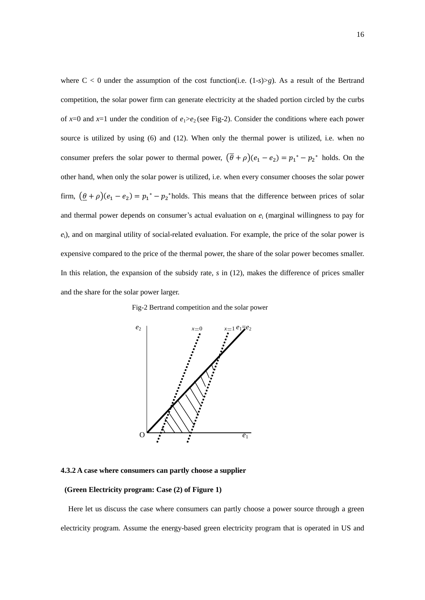where  $C < 0$  under the assumption of the cost function(i.e.  $(1-s) > g$ ). As a result of the Bertrand competition, the solar power firm can generate electricity at the shaded portion circled by the curbs of  $x=0$  and  $x=1$  under the condition of  $e_1 > e_2$  (see Fig-2). Consider the conditions where each power source is utilized by using (6) and (12). When only the thermal power is utilized, i.e. when no consumer prefers the solar power to thermal power,  $(\bar{\theta} + \rho)(e_1 - e_2) = p_1^* - p_2^*$  holds. On the other hand, when only the solar power is utilized, i.e. when every consumer chooses the solar power firm,  $(\theta + \rho)(e_1 - e_2) = p_1^* - p_2^*$  holds. This means that the difference between prices of solar and thermal power depends on consumer's actual evaluation on *e*<sup>i</sup> (marginal willingness to pay for *e*i), and on marginal utility of social-related evaluation. For example, the price of the solar power is expensive compared to the price of the thermal power, the share of the solar power becomes smaller. In this relation, the expansion of the subsidy rate, *s* in (12), makes the difference of prices smaller and the share for the solar power larger.





**4.3.2 A case where consumers can partly choose a supplier**

## **(Green Electricity program: Case (2) of Figure 1)**

 Here let us discuss the case where consumers can partly choose a power source through a green electricity program. Assume the energy-based green electricity program that is operated in US and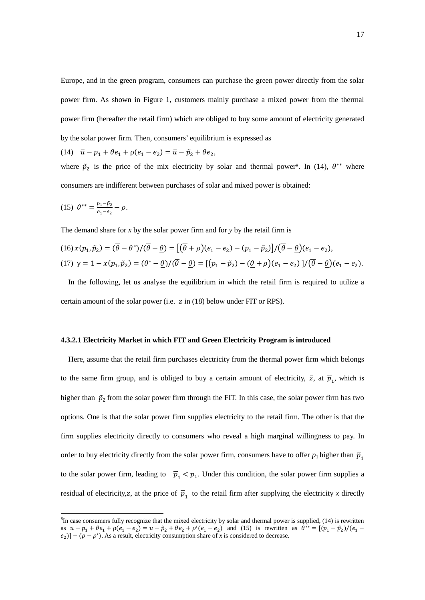Europe, and in the green program, consumers can purchase the green power directly from the solar power firm. As shown in Figure 1, customers mainly purchase a mixed power from the thermal power firm (hereafter the retail firm) which are obliged to buy some amount of electricity generated by the solar power firm. Then, consumers' equilibrium is expressed as

(14)  $\bar{u} - p_1 + \theta e_1 + \rho (e_1 - e_2) = \bar{u} - \tilde{p}_2 + \theta e_2$ 

where  $\tilde{p}_2$  is the price of the mix electricity by solar and thermal power<sup>8</sup>. In (14),  $\theta^{**}$  where consumers are indifferent between purchases of solar and mixed power is obtained:

(15) 
$$
\theta^{**} = \frac{p_1 - \tilde{p}_2}{e_1 - e_2} - \rho.
$$

<u>.</u>

The demand share for *x* by the solar power firm and for *y* by the retail firm is

$$
(16) x(p_1, \tilde{p}_2) = (\overline{\theta} - \theta^*)/(\overline{\theta} - \underline{\theta}) = [(\overline{\theta} + \rho)(e_1 - e_2) - (p_1 - \tilde{p}_2)]/(\overline{\theta} - \underline{\theta})(e_1 - e_2),
$$
  

$$
(17) y = 1 - x(p_1, \tilde{p}_2) = (\theta^* - \underline{\theta})/(\overline{\theta} - \underline{\theta}) = [(p_1 - \tilde{p}_2) - (\underline{\theta} + \rho)(e_1 - e_2)]/(\overline{\theta} - \underline{\theta})(e_1 - e_2).
$$

 In the following, let us analyse the equilibrium in which the retail firm is required to utilize a certain amount of the solar power (i.e.  $\bar{z}$  in (18) below under FIT or RPS).

### **4.3.2.1 Electricity Market in which FIT and Green Electricity Program is introduced**

 Here, assume that the retail firm purchases electricity from the thermal power firm which belongs to the same firm group, and is obliged to buy a certain amount of electricity,  $\bar{z}$ , at  $\bar{p}_1$ , which is higher than  $\tilde{p}_2$  from the solar power firm through the FIT. In this case, the solar power firm has two options. One is that the solar power firm supplies electricity to the retail firm. The other is that the firm supplies electricity directly to consumers who reveal a high marginal willingness to pay. In order to buy electricity directly from the solar power firm, consumers have to offer  $p_1$  higher than  $\overline{p}_1$ to the solar power firm, leading to  $\overline{p}_1 < p_1$ . Under this condition, the solar power firm supplies a residual of electricity,  $\bar{z}$ , at the price of  $\bar{p}_{1}$  to the retail firm after supplying the electricity *x* directly

 ${}^{8}$ In case consumers fully recognize that the mixed electricity by solar and thermal power is supplied, (14) is rewritten as  $u - p_1 + \theta e_1 + \rho (e_1 - e_2) = u - \tilde{p}_2 + \theta e_2 + \rho' (e_1 - e_2)$  and (15) is rewritten as  $\theta^*$  $e_2$ ] – ( $\rho - \rho'$ ). As a result, electricity consumption share of *x* is considered to decrease.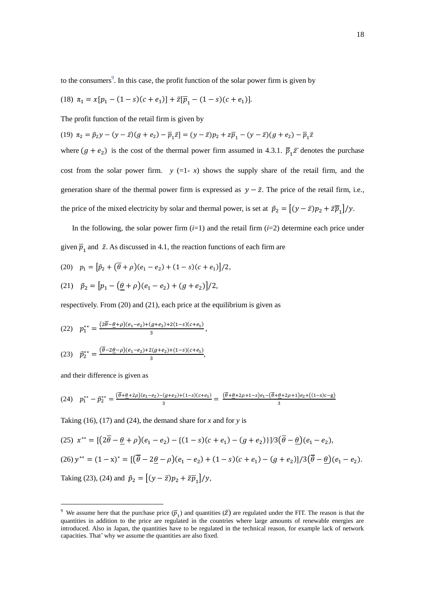to the consumers<sup>9</sup>. In this case, the profit function of the solar power firm is given by

(18) 
$$
\pi_1 = x[p_1 - (1 - s)(c + e_1)] + \bar{z}[\bar{p}_1 - (1 - s)(c + e_1)].
$$

The profit function of the retail firm is given by

(19) 
$$
\pi_2 = \tilde{p}_2 y - (y - \bar{z})(g + e_2) - \overline{p}_1 \bar{z} = (y - \bar{z})p_2 + z\overline{p}_1 - (y - \bar{z})(g + e_2) - \overline{p}_1 \bar{z}
$$

where  $(g + e_2)$  is the cost of the thermal power firm assumed in 4.3.1.  $\overline{p}_1 \overline{z}$  denotes the purchase cost from the solar power firm.  $y (=1-x)$  shows the supply share of the retail firm, and the generation share of the thermal power firm is expressed as  $y - \bar{z}$ . The price of the retail firm, i.e., the price of the mixed electricity by solar and thermal power, is set at  $\tilde{p}_2 = \left[ (y - \bar{z}) p_2 + \bar{z} \bar{p}_1 / y \right]$ .

In the following, the solar power firm  $(i=1)$  and the retail firm  $(i=2)$  determine each price under given  $\bar{p}_1$  and  $\bar{z}$ . As discussed in 4.1, the reaction functions of each firm are

(20) 
$$
p_1 = [\tilde{p}_2 + (\overline{\theta} + \rho)(e_1 - e_2) + (1 - s)(c + e_1)]/2,
$$

(21) 
$$
\tilde{p}_2 = [p_1 - (\underline{\theta} + \rho)(e_1 - e_2) + (g + e_2)]/2,
$$

respectively. From (20) and (21), each price at the equilibrium is given as

(22) 
$$
p_1^{**} = \frac{(2\overline{\theta} - \underline{\theta} + \rho)(e_1 - e_2) + (g + e_2) + 2(1 - s)(c + e_1)}{3},
$$

(23) 
$$
\tilde{p}_2^{**} = \frac{(\overline{\theta} - 2\underline{\theta} - \rho)(e_1 - e_2) + 2(g + e_2) + (1 - s)(c + e_1)}{3},
$$

and their difference is given as

-

$$
(24) \quad p_1^{**} - \tilde{p}_2^{**} = \frac{(\overline{\theta} + \underline{\theta} + 2\rho)(e_1 - e_2) - (g + e_2) + (1 - s)(c + e_1)}{3} = \frac{(\overline{\theta} + \underline{\theta} + 2\rho + 1 - s)e_1 - (\overline{\theta} + \underline{\theta} + 2\rho + 1)e_2 + ((1 - s)c - g)e_1}{3}
$$

Taking (16), (17) and (24), the demand share for *x* and for *y* is

(25) 
$$
x^{**} = \left[ \left( 2\overline{\theta} - \underline{\theta} + \rho \right) (e_1 - e_2) - \left\{ (1 - s)(c + e_1) - (g + e_2) \right\} \right] / 3 \left( \overline{\theta} - \underline{\theta} \right) (e_1 - e_2),
$$
  
\n(26)  $y^{**} = (1 - x)^* = \left[ \left( \overline{\theta} - 2\underline{\theta} - \rho \right) (e_1 - e_2) + (1 - s)(c + e_1) - (g + e_2) \right] / 3 \left( \overline{\theta} - \underline{\theta} \right) (e_1 - e_2).$   
\nTaking (23), (24) and  $\tilde{p}_2 = \left[ (y - \overline{z}) p_2 + \overline{z} \overline{p}_1 \right] / y,$ 

<sup>&</sup>lt;sup>9</sup> We assume here that the purchase price  $(\bar{p}_1)$  and quantities  $(\bar{z})$  are regulated under the FIT. The reason is that the quantities in addition to the price are regulated in the countries where large amounts of renewable energies are introduced. Also in Japan, the quantities have to be regulated in the technical reason, for example lack of network capacities. That' why we assume the quantities are also fixed.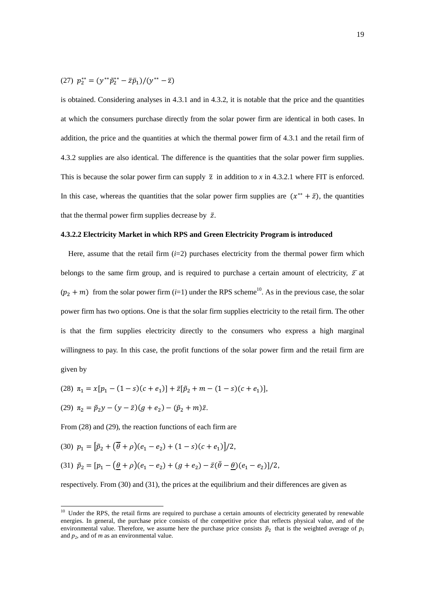(27) 
$$
p_2^{**} = (y^{**}\tilde{p}_2^{**} - \bar{z}\bar{p}_1)/(y^{**} - \bar{z})
$$

is obtained. Considering analyses in 4.3.1 and in 4.3.2, it is notable that the price and the quantities at which the consumers purchase directly from the solar power firm are identical in both cases. In addition, the price and the quantities at which the thermal power firm of 4.3.1 and the retail firm of 4.3.2 supplies are also identical. The difference is the quantities that the solar power firm supplies. This is because the solar power firm can supply  $\bar{z}$  in addition to *x* in 4.3.2.1 where FIT is enforced. In this case, whereas the quantities that the solar power firm supplies are  $(x^{**} + \bar{z})$ , the quantities that the thermal power firm supplies decrease by  $\bar{z}$ .

## **4.3.2.2 Electricity Market in which RPS and Green Electricity Program is introduced**

Here, assume that the retail firm  $(i=2)$  purchases electricity from the thermal power firm which belongs to the same firm group, and is required to purchase a certain amount of electricity,  $\bar{z}$  at  $(p_2 + m)$  from the solar power firm  $(i=1)$  under the RPS scheme<sup>10</sup>. As in the previous case, the solar power firm has two options. One is that the solar firm supplies electricity to the retail firm. The other is that the firm supplies electricity directly to the consumers who express a high marginal willingness to pay. In this case, the profit functions of the solar power firm and the retail firm are given by

(28) 
$$
\pi_1 = x[p_1 - (1 - s)(c + e_1)] + \bar{z}[\tilde{p}_2 + m - (1 - s)(c + e_1)],
$$

(29) 
$$
\pi_2 = \tilde{p}_2 y - (y - \bar{z})(g + e_2) - (\tilde{p}_2 + m)\bar{z}
$$
.

<u>.</u>

From (28) and (29), the reaction functions of each firm are

(30) 
$$
p_1 = [\tilde{p}_2 + (\overline{\theta} + \rho)(e_1 - e_2) + (1 - s)(c + e_1)]/2,
$$
  
(31)  $\tilde{p}_2 = [p_1 - (\theta + \rho)(e_1 - e_2) + (g + e_2) - \bar{z}(\bar{\theta} - \theta)(e_1 - e_2)]/2,$ 

respectively. From (30) and (31), the prices at the equilibrium and their differences are given as

<sup>&</sup>lt;sup>10</sup> Under the RPS, the retail firms are required to purchase a certain amounts of electricity generated by renewable energies. In general, the purchase price consists of the competitive price that reflects physical value, and of the environmental value. Therefore, we assume here the purchase price consists  $\tilde{p}_2$  that is the weighted average of  $p_1$ and  $p_2$ , and of  $m$  as an environmental value.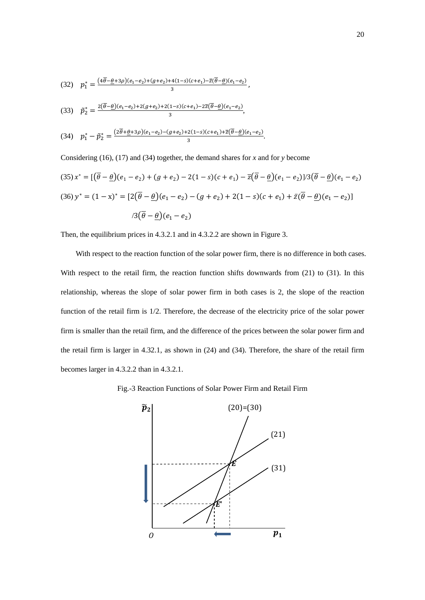(32) 
$$
p_1^* = \frac{(4\overline{\theta} - \underline{\theta} + 3\rho)(e_1 - e_2) + (g + e_2) + 4(1 - s)(c + e_1) - \overline{z}(\overline{\theta} - \underline{\theta})(e_1 - e_2)}{3},
$$
  
(33) 
$$
\tilde{p}_2^* = \frac{2(\overline{\theta} - \underline{\theta})(e_1 - e_2) + 2(g + e_2) + 2(1 - s)(c + e_1) - 2\overline{z}(\overline{\theta} - \underline{\theta})(e_1 - e_2)}{2},
$$

(34) 
$$
p_1^* - \tilde{p}_2^* = \frac{(2\overline{\theta} + \underline{\theta} + 3\rho)(e_1 - e_2) - (g + e_2) + 2(1 - s)(c + e_1) + \overline{z}(\overline{\theta} - \underline{\theta})(e_1 - e_2)}{3}.
$$

 $\overline{3}$ 

Considering (16), (17) and (34) together, the demand shares for *x* and for *y* become

$$
(35) x^* = \left[ (\overline{\theta} - \underline{\theta})(e_1 - e_2) + (g + e_2) - 2(1 - s)(c + e_1) - \overline{z}(\overline{\theta} - \underline{\theta})(e_1 - e_2)\right] / 3(\overline{\theta} - \underline{\theta})(e_1 - e_2)
$$
  

$$
(36) y^* = (1 - x)^* = \left[ 2(\overline{\theta} - \underline{\theta})(e_1 - e_2) - (g + e_2) + 2(1 - s)(c + e_1) + \overline{z}(\overline{\theta} - \underline{\theta})(e_1 - e_2) \right]
$$
  

$$
/3(\overline{\theta} - \underline{\theta})(e_1 - e_2)
$$

Then, the equilibrium prices in 4.3.2.1 and in 4.3.2.2 are shown in Figure 3.

With respect to the reaction function of the solar power firm, there is no difference in both cases. With respect to the retail firm, the reaction function shifts downwards from (21) to (31). In this relationship, whereas the slope of solar power firm in both cases is 2, the slope of the reaction function of the retail firm is 1/2. Therefore, the decrease of the electricity price of the solar power firm is smaller than the retail firm, and the difference of the prices between the solar power firm and the retail firm is larger in 4.32.1, as shown in (24) and (34). Therefore, the share of the retail firm becomes larger in 4.3.2.2 than in 4.3.2.1.

Fig.-3 Reaction Functions of Solar Power Firm and Retail Firm

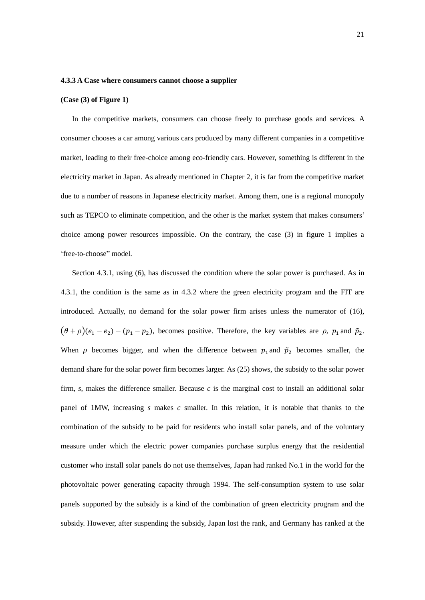### **4.3.3 A Case where consumers cannot choose a supplier**

#### **(Case (3) of Figure 1)**

 In the competitive markets, consumers can choose freely to purchase goods and services. A consumer chooses a car among various cars produced by many different companies in a competitive market, leading to their free-choice among eco-friendly cars. However, something is different in the electricity market in Japan. As already mentioned in Chapter 2, it is far from the competitive market due to a number of reasons in Japanese electricity market. Among them, one is a regional monopoly such as TEPCO to eliminate competition, and the other is the market system that makes consumers' choice among power resources impossible. On the contrary, the case (3) in figure 1 implies a 'free-to-choose" model.

 Section 4.3.1, using (6), has discussed the condition where the solar power is purchased. As in 4.3.1, the condition is the same as in 4.3.2 where the green electricity program and the FIT are introduced. Actually, no demand for the solar power firm arises unless the numerator of (16),  $(\overline{\theta} + \rho)(e_1 - e_2) - (p_1 - p_2)$ , becomes positive. Therefore, the key variables are  $\rho$ ,  $p_1$  and  $\tilde{p}_2$ . When  $\rho$  becomes bigger, and when the difference between  $p_1$  and  $\tilde{p}_2$  becomes smaller, the demand share for the solar power firm becomes larger. As (25) shows, the subsidy to the solar power firm,  $s$ , makes the difference smaller. Because  $c$  is the marginal cost to install an additional solar panel of 1MW, increasing *s* makes *c* smaller. In this relation, it is notable that thanks to the combination of the subsidy to be paid for residents who install solar panels, and of the voluntary measure under which the electric power companies purchase surplus energy that the residential customer who install solar panels do not use themselves, Japan had ranked No.1 in the world for the photovoltaic power generating capacity through 1994. The self-consumption system to use solar panels supported by the subsidy is a kind of the combination of green electricity program and the subsidy. However, after suspending the subsidy, Japan lost the rank, and Germany has ranked at the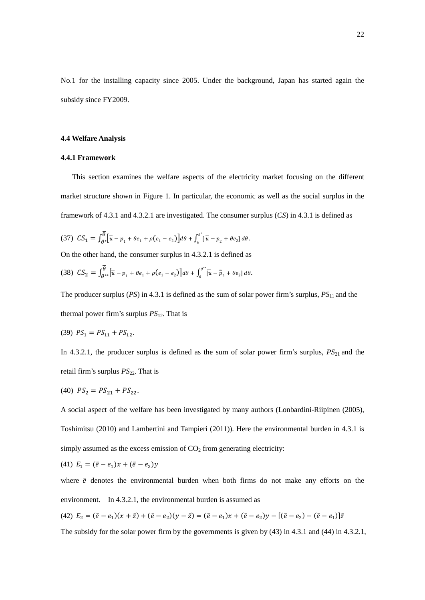No.1 for the installing capacity since 2005. Under the background, Japan has started again the subsidy since FY2009.

# **4.4 Welfare Analysis**

#### **4.4.1 Framework**

 This section examines the welfare aspects of the electricity market focusing on the different market structure shown in Figure 1. In particular, the economic as well as the social surplus in the framework of 4.3.1 and 4.3.2.1 are investigated. The consumer surplus (*CS*) in 4.3.1 is defined as

$$
(37) \ \ CS_1 = \int_{\theta^*}^{\overline{\theta}} \left[ \overline{u} - p_1 + \theta e_1 + \rho (e_1 - e_2) \right] d\theta + \int_{\underline{\theta}}^{\theta^*} \left[ \overline{u} - p_2 + \theta e_2 \right] d\theta.
$$

On the other hand, the consumer surplus in 4.3.2.1 is defined as

$$
(38)\ \ \mathcal{CS}_2=\int_{\theta^{**}}^{\overline{\theta}}\left[\overline{u}-p_1+\theta e_1+\rho(e_1-e_2)\right]d\theta+\int_{\underline{\theta}}^{\theta^{**}}\left[\overline{u}-\widetilde{p}_2+\theta e_2\right]d\theta.
$$

The producer surplus (*PS*) in 4.3.1 is defined as the sum of solar power firm's surplus, *PS*<sub>11</sub> and the thermal power firm's surplus *PS*12. That is

(39) 
$$
PS_1 = PS_{11} + PS_{12}
$$
.

In 4.3.2.1, the producer surplus is defined as the sum of solar power firm's surplus,  $PS_{21}$  and the retail firm's surplus  $PS_{22}$ . That is

(40) 
$$
PS_2 = PS_{21} + PS_{22}
$$
.

A social aspect of the welfare has been investigated by many authors (Lonbardini-Riipinen (2005), Toshimitsu (2010) and Lambertini and Tampieri (2011)). Here the environmental burden in 4.3.1 is simply assumed as the excess emission of  $CO<sub>2</sub>$  from generating electricity:

(41) 
$$
E_1 = (\bar{e} - e_1)x + (\bar{e} - e_2)y
$$

where  $\bar{e}$  denotes the environmental burden when both firms do not make any efforts on the environment. In 4.3.2.1, the environmental burden is assumed as

(42) 
$$
E_2 = (\bar{e} - e_1)(x + \bar{z}) + (\bar{e} - e_2)(y - \bar{z}) = (\bar{e} - e_1)x + (\bar{e} - e_2)y - [(\bar{e} - e_2) - (\bar{e} - e_1)]\bar{z}
$$

The subsidy for the solar power firm by the governments is given by (43) in 4.3.1 and (44) in 4.3.2.1,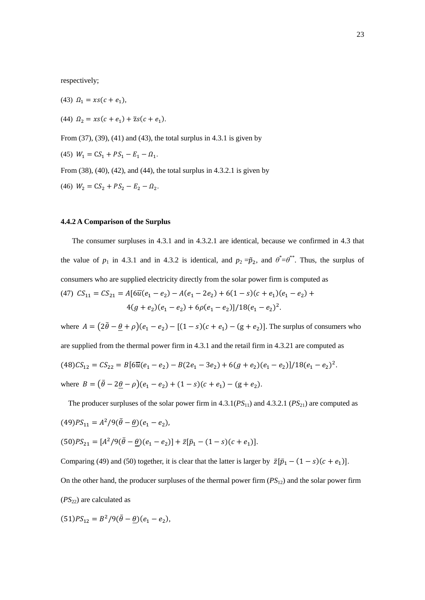respectively;

(43)  $\Omega_1 = xs(c + e_1)$ , (44)  $\Omega_2 = xs(c + e_1) + \overline{z}s(c + e_1).$ From (37), (39), (41) and (43), the total surplus in 4.3.1 is given by (45)  $W_1 = CS_1 + PS_1 - E_1 - \Omega_1$ . From (38), (40), (42), and (44), the total surplus in 4.3.2.1 is given by (46)  $W_2 = CS_2 + PS_2 - E_2 - \Omega_2$ .

#### **4.4.2 A Comparison of the Surplus**

 The consumer surpluses in 4.3.1 and in 4.3.2.1 are identical, because we confirmed in 4.3 that the value of  $p_1$  in 4.3.1 and in 4.3.2 is identical, and  $p_2 = \tilde{p}_2$ , and  $\theta^* = \theta^{**}$ . Thus, the surplus of consumers who are supplied electricity directly from the solar power firm is computed as (47)  $CS_{11} = CS_{21} = A[6\overline{u}(e_1 - e_2) - A(e_1 - 2e_2) + 6(1 - s)(c + e_1)(e_1 - e_2)]$  $4(g+e_2)(e_1-e_2)+6\rho(e_1-e_2)/18(e_1-e_2)^2$ .

where  $A = (2\bar{\theta} - \theta + \rho)(e_1 - e_2) - [(1 - s)(c + e_1) - (g + e_2)]$ . The surplus of consumers who are supplied from the thermal power firm in 4.3.1 and the retail firm in 4.3.21 are computed as  $(48)CS_{12} = CS_{22} = B[6\overline{u}(e_1 - e_2) - B(2e_1 - 3e_2) + 6(g + e_2)(e_1 - e_2)]/18(e_1 - e_2)^2$ . where  $B = (\bar{\theta} - 2\theta - \rho)(e_1 - e_2) + (1 - s)(c + e_1) - (g + e_2)$ .

The producer surpluses of the solar power firm in  $4.3.1(PS_{11})$  and  $4.3.2.1(PS_{21})$  are computed as  $(49)PS_{11} = A^2/9(\bar{\theta} - \theta)(e_1 - e_2)$  $(50)P_{21} = [A^2/9(\bar{\theta} - \theta)(e_1 - e_2)] + \bar{z}[\bar{p}_1 - (1 - s)(c + e_1)].$ Comparing (49) and (50) together, it is clear that the latter is larger by  $\bar{z}[\bar{p}_1 - (1 - s)(c + e_1)].$ 

On the other hand, the producer surpluses of the thermal power firm (*PS*12) and the solar power firm  $(PS_{22})$  are calculated as

$$
(51)PS_{12} = B^2/9(\bar{\theta} - \underline{\theta})(e_1 - e_2),
$$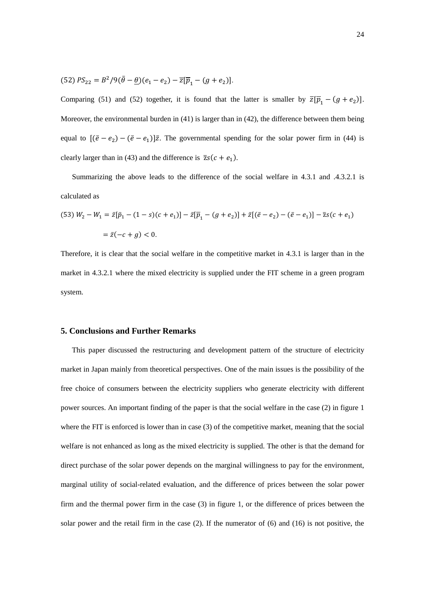$$
(52) PS_{22} = B^2/9(\bar{\theta} - \underline{\theta})(e_1 - e_2) - \overline{z}[\overline{p}_1 - (g + e_2)].
$$

Comparing (51) and (52) together, it is found that the latter is smaller by  $\overline{z}$ [ $\overline{p}_1 - (g + e_2)$ ]. Moreover, the environmental burden in (41) is larger than in (42), the difference between them being equal to  $[(\bar{e} - e_2) - (\bar{e} - e_1)]\bar{z}$ . The governmental spending for the solar power firm in (44) is clearly larger than in (43) and the difference is  $\overline{z}s(c + e_1)$ .

 Summarizing the above leads to the difference of the social welfare in 4.3.1 and .4.3.2.1 is calculated as

(53) 
$$
W_2 - W_1 = \bar{z}[\bar{p}_1 - (1 - s)(c + e_1)] - \bar{z}[\bar{p}_1 - (g + e_2)] + \bar{z}[(\bar{e} - e_2) - (\bar{e} - e_1)] - \bar{z}s(c + e_1)
$$
  

$$
= \bar{z}(-c + g) < 0.
$$

Therefore, it is clear that the social welfare in the competitive market in 4.3.1 is larger than in the market in 4.3.2.1 where the mixed electricity is supplied under the FIT scheme in a green program system.

# **5. Conclusions and Further Remarks**

This paper discussed the restructuring and development pattern of the structure of electricity market in Japan mainly from theoretical perspectives. One of the main issues is the possibility of the free choice of consumers between the electricity suppliers who generate electricity with different power sources. An important finding of the paper is that the social welfare in the case (2) in figure 1 where the FIT is enforced is lower than in case (3) of the competitive market, meaning that the social welfare is not enhanced as long as the mixed electricity is supplied. The other is that the demand for direct purchase of the solar power depends on the marginal willingness to pay for the environment, marginal utility of social-related evaluation, and the difference of prices between the solar power firm and the thermal power firm in the case (3) in figure 1, or the difference of prices between the solar power and the retail firm in the case (2). If the numerator of (6) and (16) is not positive, the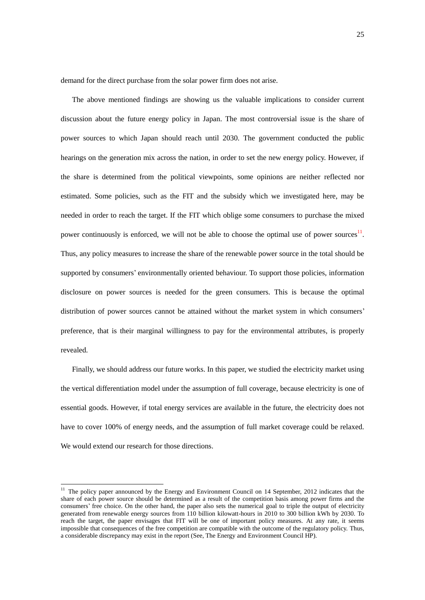demand for the direct purchase from the solar power firm does not arise.

The above mentioned findings are showing us the valuable implications to consider current discussion about the future energy policy in Japan. The most controversial issue is the share of power sources to which Japan should reach until 2030. The government conducted the public hearings on the generation mix across the nation, in order to set the new energy policy. However, if the share is determined from the political viewpoints, some opinions are neither reflected nor estimated. Some policies, such as the FIT and the subsidy which we investigated here, may be needed in order to reach the target. If the FIT which oblige some consumers to purchase the mixed power continuously is enforced, we will not be able to choose the optimal use of power sources $<sup>11</sup>$ .</sup> Thus, any policy measures to increase the share of the renewable power source in the total should be supported by consumers' environmentally oriented behaviour. To support those policies, information disclosure on power sources is needed for the green consumers. This is because the optimal distribution of power sources cannot be attained without the market system in which consumers' preference, that is their marginal willingness to pay for the environmental attributes, is properly revealed.

 Finally, we should address our future works. In this paper, we studied the electricity market using the vertical differentiation model under the assumption of full coverage, because electricity is one of essential goods. However, if total energy services are available in the future, the electricity does not have to cover 100% of energy needs, and the assumption of full market coverage could be relaxed. We would extend our research for those directions.

-

<sup>&</sup>lt;sup>11</sup> The policy paper announced by the Energy and Environment Council on 14 September, 2012 indicates that the share of each power source should be determined as a result of the competition basis among power firms and the consumers' free choice. On the other hand, the paper also sets the numerical goal to triple the output of electricity generated from renewable energy sources from 110 billion kilowatt-hours in 2010 to 300 billion kWh by 2030. To reach the target, the paper envisages that FIT will be one of important policy measures. At any rate, it seems impossible that consequences of the free competition are compatible with the outcome of the regulatory policy. Thus, a considerable discrepancy may exist in the report (See, The Energy and Environment Council HP).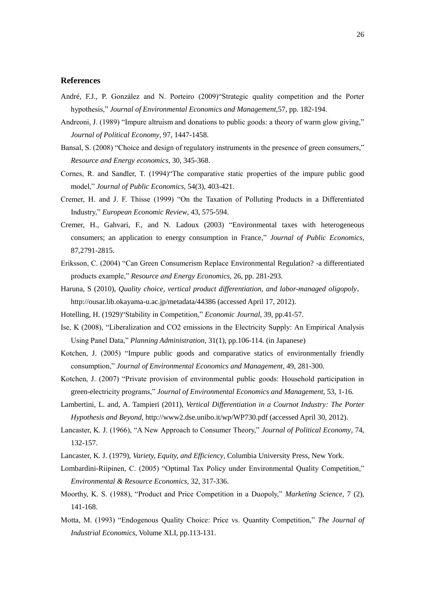# **References**

- André, F.J., P. González and N. Porteiro (2009)"Strategic quality competition and the Porter hypothesis," *Journal of Environmental Economics and Management*,57, pp. 182-194.
- Andreoni, J. (1989) "Impure altruism and donations to public goods: a theory of warm glow giving," *Journal of Political Economy*, 97, 1447-1458.
- Bansal, S. (2008) "Choice and design of regulatory instruments in the presence of green consumers," *Resource and Energy economics*, 30, 345-368.
- Cornes, R. and Sandler, T. (1994)"The comparative static properties of the impure public good model," *Journal of Public Economics*, 54(3), 403-421.
- Cremer, H. and J. F. Thisse (1999) "On the Taxation of Polluting Products in a Differentiated Industry," *European Economic Review*, 43, 575-594.
- Cremer, H., Gahvari, F., and N. Ladoux (2003) "Environmental taxes with heterogeneous consumers; an application to energy consumption in France," *Journal of Public Economics*, 87,2791-2815.
- Eriksson, C. (2004) "Can Green Consumerism Replace Environmental Regulation? -a differentiated products example," *Resource and Energy Economics*, 26, pp. 281-293.
- Haruna, S (2010), *Quality choice, vertical product differentiation, and labor-managed oligopoly*, http://ousar.lib.okayama-u.ac.jp/metadata/44386 (accessed April 17, 2012).
- Hotelling, H. (1929)"Stability in Competition," *Economic Journal*, 39, pp.41-57.
- Ise, K (2008), "Liberalization and CO2 emissions in the Electricity Supply: An Empirical Analysis Using Panel Data," *Planning Administration*, 31(1), pp.106-114. (in Japanese)
- Kotchen, J. (2005) "Impure public goods and comparative statics of environmentally friendly consumption," *Journal of Environmental Economics and Management*, 49, 281-300.
- Kotchen, J. (2007) "Private provision of environmental public goods: Household participation in green-electricity programs," *Journal of Environmental Economics and Management*, 53, 1-16.
- Lambertini, L. and, A. Tampieri (2011), *Vertical Differentiation in a Cournot Industry: The Porter Hypothesis and Beyond*, http://www2.dse.unibo.it/wp/WP730.pdf (accessed April 30, 2012).
- Lancaster, K. J. (1966), "A New Approach to Consumer Theory," *Journal of Political Economy*, 74, 132-157.
- Lancaster, K. J. (1979), *Variety, Equity, and Efficiency*, Columbia University Press, New York.
- Lombardini-Riipinen, C. (2005) "Optimal Tax Policy under Environmental Quality Competition," *Environmental & Resource Economics*, 32, 317-336.
- Moorthy, K. S. (1988), "Product and Price Competition in a Duopoly," *Marketing Science*, 7 (2), 141-168.
- Motta, M. (1993) "Endogenous Quality Choice: Price vs. Quantity Competition," *The Journal of Industrial Economics*, Volume XLI, pp.113-131.